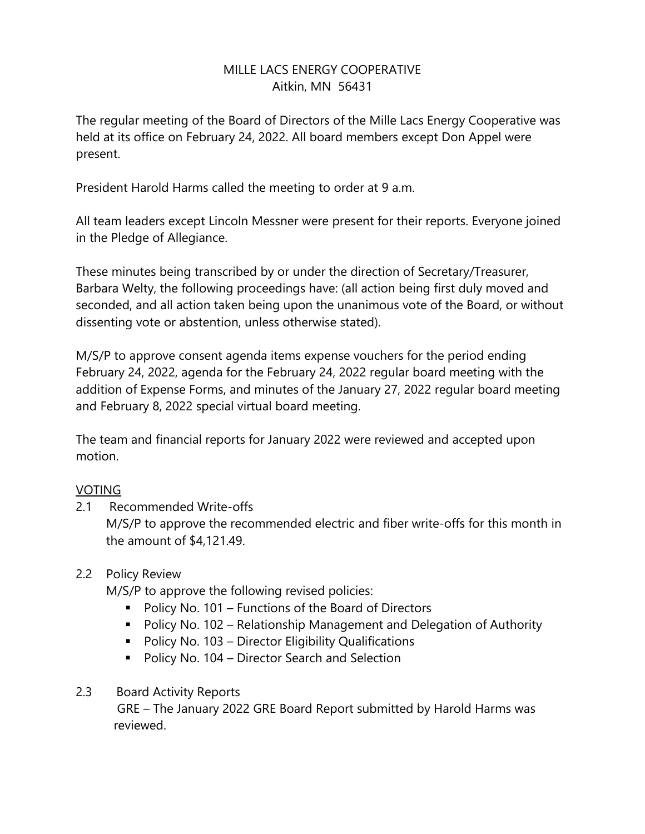### MILLE LACS ENERGY COOPERATIVE Aitkin, MN 56431

The regular meeting of the Board of Directors of the Mille Lacs Energy Cooperative was held at its office on February 24, 2022. All board members except Don Appel were present.

President Harold Harms called the meeting to order at 9 a.m.

All team leaders except Lincoln Messner were present for their reports. Everyone joined in the Pledge of Allegiance.

These minutes being transcribed by or under the direction of Secretary/Treasurer, Barbara Welty, the following proceedings have: (all action being first duly moved and seconded, and all action taken being upon the unanimous vote of the Board, or without dissenting vote or abstention, unless otherwise stated).

M/S/P to approve consent agenda items expense vouchers for the period ending February 24, 2022, agenda for the February 24, 2022 regular board meeting with the addition of Expense Forms, and minutes of the January 27, 2022 regular board meeting and February 8, 2022 special virtual board meeting.

The team and financial reports for January 2022 were reviewed and accepted upon motion.

### VOTING

2.1 Recommended Write-offs

M/S/P to approve the recommended electric and fiber write-offs for this month in the amount of \$4,121.49.

### 2.2 Policy Review

M/S/P to approve the following revised policies:

- Policy No. 101 Functions of the Board of Directors
- Policy No. 102 Relationship Management and Delegation of Authority
- Policy No. 103 Director Eligibility Qualifications
- Policy No. 104 Director Search and Selection

# 2.3 Board Activity Reports

GRE – The January 2022 GRE Board Report submitted by Harold Harms was reviewed.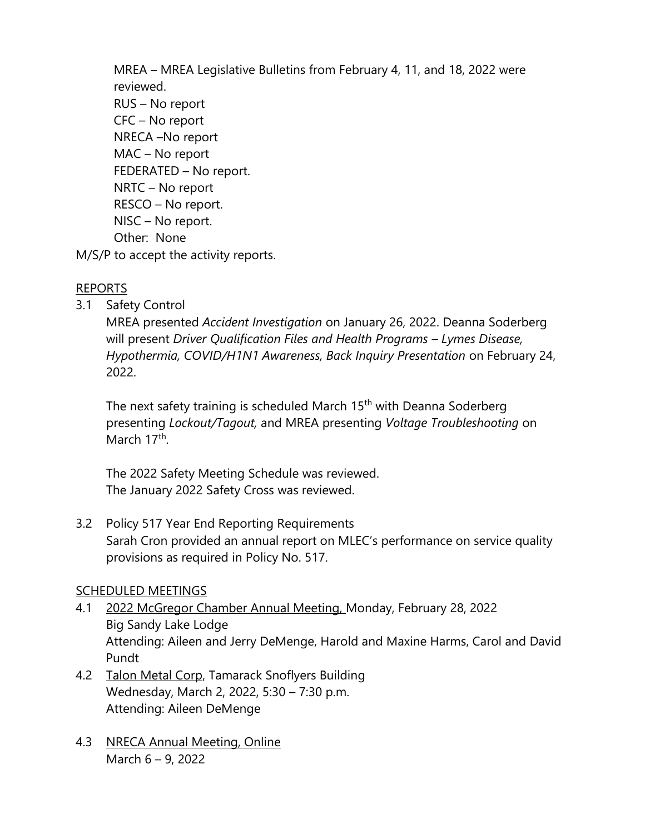MREA – MREA Legislative Bulletins from February 4, 11, and 18, 2022 were reviewed.

 RUS – No report CFC – No report NRECA –No report MAC – No report FEDERATED – No report. NRTC – No report RESCO – No report. NISC – No report. Other: None

M/S/P to accept the activity reports.

# REPORTS

3.1 Safety Control

MREA presented *Accident Investigation* on January 26, 2022. Deanna Soderberg will present *Driver Qualification Files and Health Programs – Lymes Disease, Hypothermia, COVID/H1N1 Awareness, Back Inquiry Presentation* on February 24, 2022.

The next safety training is scheduled March 15<sup>th</sup> with Deanna Soderberg presenting *Lockout/Tagout,* and MREA presenting *Voltage Troubleshooting* on March 17<sup>th</sup>.

The 2022 Safety Meeting Schedule was reviewed. The January 2022 Safety Cross was reviewed.

3.2 Policy 517 Year End Reporting Requirements Sarah Cron provided an annual report on MLEC's performance on service quality provisions as required in Policy No. 517.

# SCHEDULED MEETINGS

- 4.1 2022 McGregor Chamber Annual Meeting, Monday, February 28, 2022 Big Sandy Lake Lodge Attending: Aileen and Jerry DeMenge, Harold and Maxine Harms, Carol and David Pundt
- 4.2 Talon Metal Corp, Tamarack Snoflyers Building Wednesday, March 2, 2022, 5:30 – 7:30 p.m. Attending: Aileen DeMenge
- 4.3 NRECA Annual Meeting, Online March 6 – 9, 2022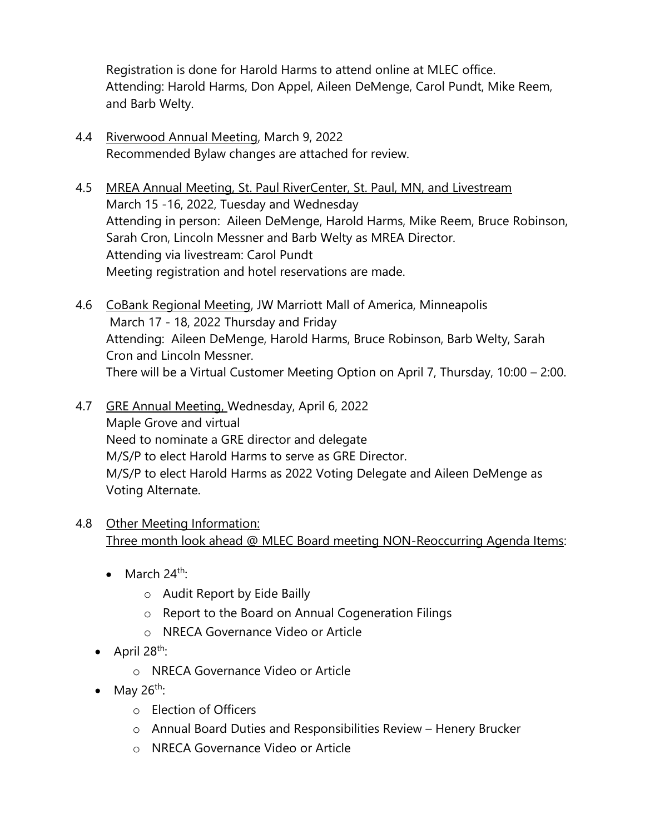Registration is done for Harold Harms to attend online at MLEC office. Attending: Harold Harms, Don Appel, Aileen DeMenge, Carol Pundt, Mike Reem, and Barb Welty.

- 4.4 Riverwood Annual Meeting, March 9, 2022 Recommended Bylaw changes are attached for review.
- 4.5 MREA Annual Meeting, St. Paul RiverCenter, St. Paul, MN, and Livestream March 15 -16, 2022, Tuesday and Wednesday Attending in person: Aileen DeMenge, Harold Harms, Mike Reem, Bruce Robinson, Sarah Cron, Lincoln Messner and Barb Welty as MREA Director. Attending via livestream: Carol Pundt Meeting registration and hotel reservations are made.
- 4.6 CoBank Regional Meeting, JW Marriott Mall of America, Minneapolis March 17 - 18, 2022 Thursday and Friday Attending: Aileen DeMenge, Harold Harms, Bruce Robinson, Barb Welty, Sarah Cron and Lincoln Messner. There will be a Virtual Customer Meeting Option on April 7, Thursday, 10:00 – 2:00.
- 4.7 GRE Annual Meeting, Wednesday, April 6, 2022 Maple Grove and virtual Need to nominate a GRE director and delegate M/S/P to elect Harold Harms to serve as GRE Director. M/S/P to elect Harold Harms as 2022 Voting Delegate and Aileen DeMenge as Voting Alternate.
- 4.8 Other Meeting Information: Three month look ahead @ MLEC Board meeting NON-Reoccurring Agenda Items:
	- March  $24^{\text{th}}$ :
		- o Audit Report by Eide Bailly
		- o Report to the Board on Annual Cogeneration Filings
		- o NRECA Governance Video or Article
	- $\bullet$  April 28<sup>th</sup>:
		- o NRECA Governance Video or Article
	- May  $26^{th}$ :
		- o Election of Officers
		- o Annual Board Duties and Responsibilities Review Henery Brucker
		- o NRECA Governance Video or Article